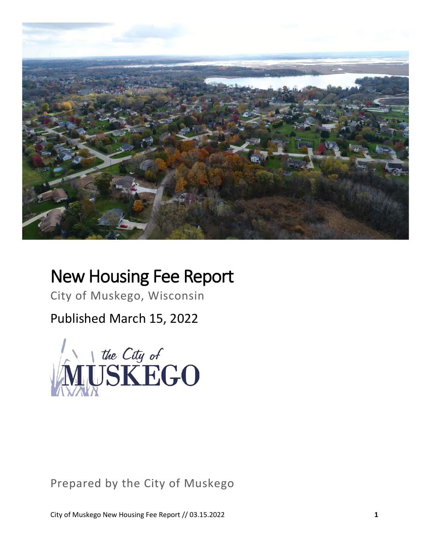

# New Housing Fee Report

City of Muskego, Wisconsin

Published March 15, 2022



## Prepared by the City of Muskego

City of Muskego New Housing Fee Report // 03.15.2022 **1**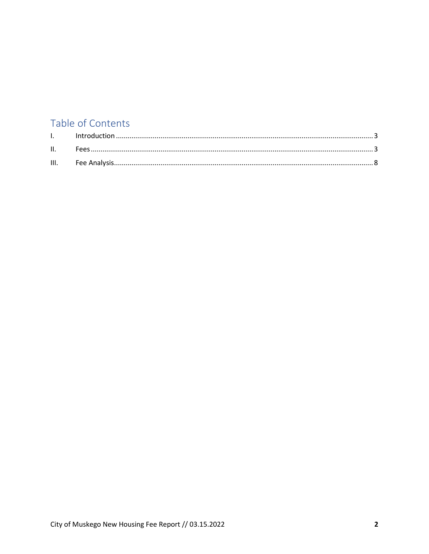## Table of Contents

| $\mathbf{L}$ |  |
|--------------|--|
| II.          |  |
|              |  |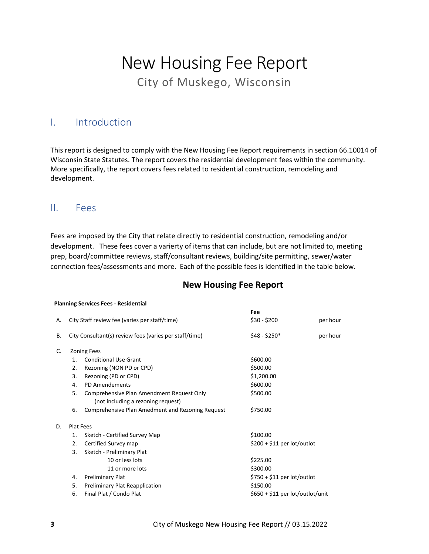# New Housing Fee Report City of Muskego, Wisconsin

### <span id="page-2-0"></span>I. Introduction

This report is designed to comply with the New Housing Fee Report requirements in section 66.10014 of Wisconsin State Statutes. The report covers the residential development fees within the community. More specifically, the report covers fees related to residential construction, remodeling and development.

#### <span id="page-2-1"></span>II. Fees

Fees are imposed by the City that relate directly to residential construction, remodeling and/or development. These fees cover a varierty of items that can include, but are not limited to, meeting prep, board/committee reviews, staff/consultant reviews, building/site permitting, sewer/water connection fees/assessments and more. Each of the possible fees is identified in the table below.

#### **Planning Services Fees - Residential**

|    |                                                        |                                                                                 | Fee                              |          |
|----|--------------------------------------------------------|---------------------------------------------------------------------------------|----------------------------------|----------|
| А. | City Staff review fee (varies per staff/time)          |                                                                                 | $$30 - $200$                     | per hour |
| В. | City Consultant(s) review fees (varies per staff/time) |                                                                                 | $$48 - $250*$                    | per hour |
| C. |                                                        | <b>Zoning Fees</b>                                                              |                                  |          |
|    | $\mathbf{1}$ .                                         | <b>Conditional Use Grant</b>                                                    | \$600.00                         |          |
|    | 2.                                                     | Rezoning (NON PD or CPD)                                                        | \$500.00                         |          |
|    | 3.                                                     | Rezoning (PD or CPD)                                                            | \$1,200.00                       |          |
|    | 4.                                                     | PD Amendements                                                                  | \$600.00                         |          |
|    | 5.                                                     | Comprehensive Plan Amendment Request Only<br>(not including a rezoning request) | \$500.00                         |          |
|    | 6.                                                     | Comprehensive Plan Amedment and Rezoning Request                                | \$750.00                         |          |
| D. | Plat Fees                                              |                                                                                 |                                  |          |
|    | 1.                                                     | Sketch - Certified Survey Map                                                   | \$100.00                         |          |
|    | 2.                                                     | Certified Survey map                                                            | $$200 + $11$ per lot/outlot      |          |
|    | 3.                                                     | Sketch - Preliminary Plat                                                       |                                  |          |
|    |                                                        | 10 or less lots                                                                 | \$225.00                         |          |
|    |                                                        | 11 or more lots                                                                 | \$300.00                         |          |
|    | 4.                                                     | <b>Preliminary Plat</b>                                                         | $$750 + $11$ per lot/outlot      |          |
|    | 5.                                                     | Preliminary Plat Reapplication                                                  | \$150.00                         |          |
|    | 6.                                                     | Final Plat / Condo Plat                                                         | $$650 + $11$ per lot/outlot/unit |          |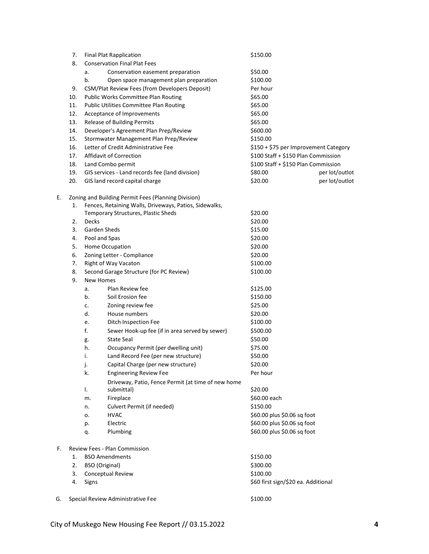|    | 7.  |                                     | <b>Final Plat Rapplication</b>                         | \$150.00                              |                |
|----|-----|-------------------------------------|--------------------------------------------------------|---------------------------------------|----------------|
|    | 8.  | <b>Conservation Final Plat Fees</b> |                                                        |                                       |                |
|    |     | a.                                  | Conservation easement preparation                      | \$50.00                               |                |
|    |     | b.                                  | Open space management plan preparation                 | \$100.00                              |                |
|    | 9.  |                                     | CSM/Plat Review Fees (from Developers Deposit)         | Per hour                              |                |
|    | 10. |                                     | Public Works Committee Plan Routing                    | \$65.00                               |                |
|    | 11. |                                     | Public Utilities Committee Plan Routing                | \$65.00                               |                |
|    | 12. |                                     | Acceptance of Improvements                             | \$65.00                               |                |
|    | 13. |                                     | Release of Building Permits                            | \$65.00                               |                |
|    | 14. |                                     | Developer's Agreement Plan Prep/Review                 | \$600.00                              |                |
|    | 15. |                                     | Stormwater Management Plan Prep/Review                 | \$150.00                              |                |
|    | 16. |                                     | Letter of Credit Administrative Fee                    | \$150 + \$75 per Improvement Category |                |
|    | 17. |                                     | <b>Affidavit of Correction</b>                         | \$100 Staff + \$150 Plan Commission   |                |
|    | 18. |                                     | Land Combo permit                                      | \$100 Staff + \$150 Plan Commission   |                |
|    | 19. |                                     |                                                        | \$80.00                               |                |
|    |     |                                     | GIS services - Land records fee (land division)        |                                       | per lot/outlot |
|    | 20. |                                     | GIS land record capital charge                         | \$20.00                               | per lot/outlot |
| Е. |     |                                     | Zoning and Building Permit Fees (Planning Division)    |                                       |                |
|    | 1.  |                                     | Fences, Retaining Walls, Driveways, Patios, Sidewalks, |                                       |                |
|    |     |                                     | Temporary Structures, Plastic Sheds                    | \$20.00                               |                |
|    | 2.  | Decks                               |                                                        | \$20.00                               |                |
|    | 3.  |                                     | <b>Garden Sheds</b>                                    | \$15.00                               |                |
|    | 4.  |                                     | Pool and Spas                                          | \$20.00                               |                |
|    | 5.  |                                     | Home Occupation                                        | \$20.00                               |                |
|    | 6.  |                                     | Zoning Letter - Compliance                             | \$20.00                               |                |
|    | 7.  |                                     | Right of Way Vacaton                                   | \$100.00                              |                |
|    | 8.  |                                     | Second Garage Structure (for PC Review)                | \$100.00                              |                |
|    | 9.  |                                     | <b>New Homes</b>                                       |                                       |                |
|    |     | a.                                  | Plan Review fee                                        | \$125.00                              |                |
|    |     | b.                                  | Soil Erosion fee                                       | \$150.00                              |                |
|    |     | c.                                  | Zoning review fee                                      | \$25.00                               |                |
|    |     | d.                                  | House numbers                                          | \$20.00                               |                |
|    |     | e.                                  | Ditch Inspection Fee                                   | \$100.00                              |                |
|    |     | f.                                  | Sewer Hook-up fee (if in area served by sewer)         | \$500.00                              |                |
|    |     | g.                                  | <b>State Seal</b>                                      | \$50.00                               |                |
|    |     | h.                                  | Occupancy Permit (per dwelling unit)                   | \$75.00                               |                |
|    |     | i.                                  | Land Record Fee (per new structure)                    | \$50.00                               |                |
|    |     |                                     | Capital Charge (per new structure)                     | \$20.00                               |                |
|    |     | J.                                  |                                                        |                                       |                |
|    |     | k.                                  | <b>Engineering Review Fee</b>                          | Per hour                              |                |
|    |     |                                     | Driveway, Patio, Fence Permit (at time of new home     |                                       |                |
|    |     | Ι.                                  | submittal)                                             | \$20.00                               |                |
|    |     | m.                                  | Fireplace                                              | \$60.00 each                          |                |
|    |     | n.                                  | Culvert Permit (if needed)                             | \$150.00                              |                |
|    |     | о.                                  | <b>HVAC</b>                                            | \$60.00 plus \$0.06 sq foot           |                |
|    |     | p.                                  | Electric                                               | \$60.00 plus \$0.06 sq foot           |                |
|    |     | q.                                  | Plumbing                                               | \$60.00 plus \$0.06 sq foot           |                |
| F. |     |                                     | Review Fees - Plan Commission                          |                                       |                |
|    | 1.  |                                     | <b>BSO Amendments</b>                                  | \$150.00                              |                |
|    | 2.  |                                     | <b>BSO</b> (Original)                                  | \$300.00                              |                |
|    | 3.  | Conceptual Review                   |                                                        | \$100.00                              |                |
|    | 4.  | Signs                               |                                                        | \$60 first sign/\$20 ea. Additional   |                |
| G. |     |                                     | Special Review Administrative Fee                      | \$100.00                              |                |
|    |     |                                     |                                                        |                                       |                |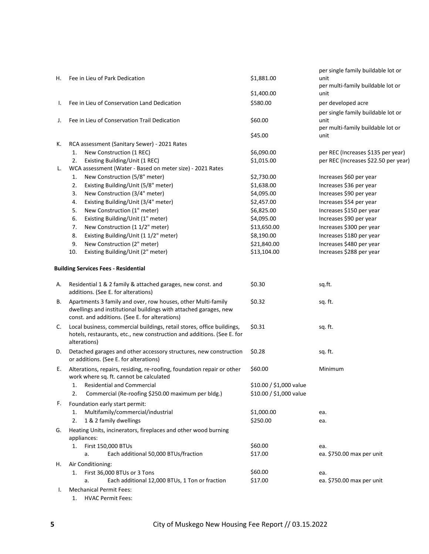|    |                                                                                                                                                                                    |                           | per single family buildable lot or                   |
|----|------------------------------------------------------------------------------------------------------------------------------------------------------------------------------------|---------------------------|------------------------------------------------------|
| н. | Fee in Lieu of Park Dedication                                                                                                                                                     | \$1,881.00                | unit<br>per multi-family buildable lot or            |
|    |                                                                                                                                                                                    | \$1,400.00                | unit                                                 |
| I. | Fee in Lieu of Conservation Land Dedication                                                                                                                                        | \$580.00                  | per developed acre                                   |
| J. | Fee in Lieu of Conservation Trail Dedication                                                                                                                                       | \$60.00                   | per single family buildable lot or<br>unit           |
|    |                                                                                                                                                                                    |                           | per multi-family buildable lot or                    |
|    |                                                                                                                                                                                    | \$45.00                   | unit                                                 |
| К. | RCA assessment (Sanitary Sewer) - 2021 Rates                                                                                                                                       |                           |                                                      |
|    | New Construction (1 REC)<br>1.                                                                                                                                                     | \$6,090.00                | per REC (Increases \$135 per year)                   |
|    | Existing Building/Unit (1 REC)<br>2.                                                                                                                                               | \$1,015.00                | per REC (Increases \$22.50 per year)                 |
| L. | WCA assessment (Water - Based on meter size) - 2021 Rates                                                                                                                          |                           |                                                      |
|    | New Construction (5/8" meter)<br>1.                                                                                                                                                | \$2,730.00                | Increases \$60 per year                              |
|    | Existing Building/Unit (5/8" meter)<br>2.                                                                                                                                          | \$1,638.00                | Increases \$36 per year                              |
|    | 3.<br>New Construction (3/4" meter)                                                                                                                                                | \$4,095.00                | Increases \$90 per year                              |
|    | Existing Building/Unit (3/4" meter)<br>4.                                                                                                                                          | \$2,457.00                | Increases \$54 per year                              |
|    | 5.<br>New Construction (1" meter)                                                                                                                                                  | \$6,825.00                | Increases \$150 per year                             |
|    | 6.<br>Existing Building/Unit (1" meter)<br>7.                                                                                                                                      | \$4,095.00                | Increases \$90 per year                              |
|    | New Construction (1 1/2" meter)<br>Existing Building/Unit (1 1/2" meter)<br>8.                                                                                                     | \$13,650.00<br>\$8,190.00 | Increases \$300 per year<br>Increases \$180 per year |
|    | New Construction (2" meter)<br>9.                                                                                                                                                  | \$21,840.00               | Increases \$480 per year                             |
|    | 10.<br>Existing Building/Unit (2" meter)                                                                                                                                           | \$13,104.00               | Increases \$288 per year                             |
|    |                                                                                                                                                                                    |                           |                                                      |
|    | <b>Building Services Fees - Residential</b>                                                                                                                                        |                           |                                                      |
| А. | Residential 1 & 2 family & attached garages, new const. and<br>additions. (See E. for alterations)                                                                                 | \$0.30                    | sq.ft.                                               |
| В. | Apartments 3 family and over, row houses, other Multi-family<br>dwellings and institutional buildings with attached garages, new<br>const. and additions. (See E. for alterations) | \$0.32                    | sq. ft.                                              |
| C. | Local business, commercial buildings, retail stores, office buildings,<br>hotels, restaurants, etc., new construction and additions. (See E. for<br>alterations)                   | \$0.31                    | sq. ft.                                              |
| D. | Detached garages and other accessory structures, new construction<br>or additions. (See E. for alterations)                                                                        | \$0.28                    | sq. ft.                                              |
| Е. | Alterations, repairs, residing, re-roofing, foundation repair or other<br>work where sq. ft. cannot be calculated                                                                  | \$60.00                   | Minimum                                              |
|    | <b>Residential and Commercial</b><br>1.                                                                                                                                            | \$10.00 / \$1,000 value   |                                                      |
|    | 2.<br>Commercial (Re-roofing \$250.00 maximum per bldg.)                                                                                                                           | \$10.00 / \$1,000 value   |                                                      |
| F. | Foundation early start permit:                                                                                                                                                     |                           |                                                      |
|    | Multifamily/commercial/industrial<br>1.                                                                                                                                            | \$1,000.00                | ea.                                                  |
|    | 1 & 2 family dwellings<br>2.                                                                                                                                                       | \$250.00                  | ea.                                                  |
| G. | Heating Units, incinerators, fireplaces and other wood burning<br>appliances:                                                                                                      |                           |                                                      |
|    | First 150,000 BTUs<br>1.                                                                                                                                                           | \$60.00                   | ea.                                                  |
|    | Each additional 50,000 BTUs/fraction<br>a.                                                                                                                                         | \$17.00                   | ea. \$750.00 max per unit                            |
| н. | Air Conditioning:                                                                                                                                                                  |                           |                                                      |
|    | First 36,000 BTUs or 3 Tons<br>1.                                                                                                                                                  | \$60.00                   | ea.                                                  |
|    | Each additional 12,000 BTUs, 1 Ton or fraction<br>a.                                                                                                                               | \$17.00                   | ea. \$750.00 max per unit                            |
| ı. | <b>Mechanical Permit Fees:</b><br><b>HVAC Permit Fees:</b><br>1.                                                                                                                   |                           |                                                      |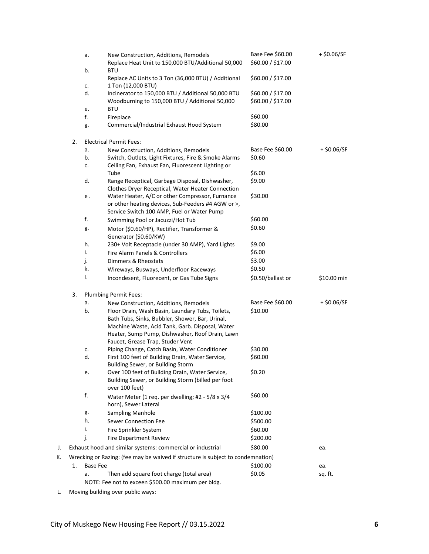|    |    | а.              | New Construction, Additions, Remodels<br>Replace Heat Unit to 150,000 BTU/Additional 50,000                                                                                                                                                   | Base Fee \$60.00<br>\$60.00 / \$17.00  | + \$0.06/SF   |
|----|----|-----------------|-----------------------------------------------------------------------------------------------------------------------------------------------------------------------------------------------------------------------------------------------|----------------------------------------|---------------|
|    |    | b.              | <b>BTU</b><br>Replace AC Units to 3 Ton (36,000 BTU) / Additional                                                                                                                                                                             | \$60.00 / \$17.00                      |               |
|    |    | c.              | 1 Ton (12,000 BTU)                                                                                                                                                                                                                            |                                        |               |
|    |    | d.              | Incinerator to 150,000 BTU / Additional 50,000 BTU<br>Woodburning to 150,000 BTU / Additional 50,000                                                                                                                                          | \$60.00 / \$17.00<br>\$60.00 / \$17.00 |               |
|    |    | e.              | <b>BTU</b>                                                                                                                                                                                                                                    |                                        |               |
|    |    | f.              | Fireplace                                                                                                                                                                                                                                     | \$60.00                                |               |
|    |    | g.              | Commercial/Industrial Exhaust Hood System                                                                                                                                                                                                     | \$80.00                                |               |
|    | 2. |                 | <b>Electrical Permit Fees:</b>                                                                                                                                                                                                                |                                        |               |
|    |    | a.              | New Construction, Additions, Remodels                                                                                                                                                                                                         | Base Fee \$60.00                       | $+$ \$0.06/SF |
|    |    | b.              | Switch, Outlets, Light Fixtures, Fire & Smoke Alarms                                                                                                                                                                                          | \$0.60                                 |               |
|    |    | c.              | Ceiling Fan, Exhaust Fan, Fluorescent Lighting or<br>Tube                                                                                                                                                                                     | \$6.00                                 |               |
|    |    | d.              | Range Receptical, Garbage Disposal, Dishwasher,                                                                                                                                                                                               | \$9.00                                 |               |
|    |    |                 | Clothes Dryer Receptical, Water Heater Connection                                                                                                                                                                                             |                                        |               |
|    |    | е.              | Water Heater, A/C or other Compressor, Furnance<br>or other heating devices, Sub-Feeders #4 AGW or >,                                                                                                                                         | \$30.00                                |               |
|    |    |                 | Service Switch 100 AMP, Fuel or Water Pump                                                                                                                                                                                                    |                                        |               |
|    |    | f.              | Swimming Pool or Jacuzzi/Hot Tub                                                                                                                                                                                                              | \$60.00                                |               |
|    |    | g.              | Motor (\$0.60/HP), Rectifier, Transformer &<br>Generator (\$0.60/KW)                                                                                                                                                                          | \$0.60                                 |               |
|    |    | h.              | 230+ Volt Receptacle (under 30 AMP), Yard Lights                                                                                                                                                                                              | \$9.00                                 |               |
|    |    | i.              | Fire Alarm Panels & Controllers                                                                                                                                                                                                               | \$6.00                                 |               |
|    |    | j.              | Dimmers & Rheostats                                                                                                                                                                                                                           | \$3.00                                 |               |
|    |    | k.              | Wireways, Busways, Underfloor Raceways                                                                                                                                                                                                        | \$0.50                                 |               |
|    |    | I.              | Incondesent, Fluorecent, or Gas Tube Signs                                                                                                                                                                                                    | \$0.50/ballast or                      | \$10.00 min   |
|    | 3. |                 | Plumbing Permit Fees:                                                                                                                                                                                                                         |                                        |               |
|    |    | а.              | New Construction, Additions, Remodels                                                                                                                                                                                                         | Base Fee \$60.00                       | $+$ \$0.06/SF |
|    |    | b.              | Floor Drain, Wash Basin, Laundary Tubs, Toilets,<br>Bath Tubs, Sinks, Bubbler, Shower, Bar, Urinal,<br>Machine Waste, Acid Tank, Garb. Disposal, Water<br>Heater, Sump Pump, Dishwasher, Roof Drain, Lawn<br>Faucet, Grease Trap, Studer Vent | \$10.00                                |               |
|    |    | c.              | Piping Change, Catch Basin, Water Conditioner                                                                                                                                                                                                 | \$30.00                                |               |
|    |    | d.              | First 100 feet of Building Drain, Water Service,<br>Building Sewer, or Building Storm                                                                                                                                                         | \$60.00                                |               |
|    |    | е.              | Over 100 feet of Building Drain, Water Service,<br>Building Sewer, or Building Storm (billed per foot<br>over 100 feet)                                                                                                                       | \$0.20                                 |               |
|    |    | f.              | Water Meter (1 req. per dwelling; #2 - 5/8 x 3/4<br>horn), Sewer Lateral                                                                                                                                                                      | \$60.00                                |               |
|    |    | g.              | <b>Sampling Manhole</b>                                                                                                                                                                                                                       | \$100.00                               |               |
|    |    | h.              | <b>Sewer Connection Fee</b>                                                                                                                                                                                                                   | \$500.00                               |               |
|    |    | i.              | Fire Sprinkler System                                                                                                                                                                                                                         | \$60.00                                |               |
|    |    | j.              | <b>Fire Department Review</b>                                                                                                                                                                                                                 | \$200.00                               |               |
| J. |    |                 | Exhaust hood and similar systems: commercial or industrial                                                                                                                                                                                    | \$80.00                                | ea.           |
| К. |    |                 | Wrecking or Razing: (fee may be waived if structure is subject to condemnation)                                                                                                                                                               |                                        |               |
|    | 1. | <b>Base Fee</b> |                                                                                                                                                                                                                                               | \$100.00                               | ea.           |
|    |    | a.              | Then add square foot charge (total area)                                                                                                                                                                                                      | \$0.05                                 | sq. ft.       |
|    |    |                 | NOTE: Fee not to exceen \$500.00 maximum per bldg.                                                                                                                                                                                            |                                        |               |

L. Moving building over public ways: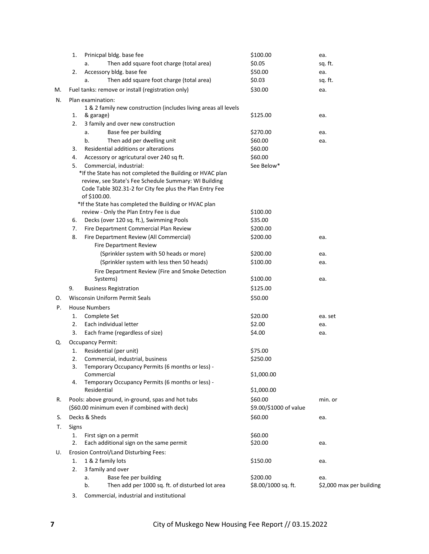|    | 1.    | Prinicpal bldg. base fee                                                 | \$100.00               | ea.                      |
|----|-------|--------------------------------------------------------------------------|------------------------|--------------------------|
|    |       | Then add square foot charge (total area)<br>a.                           | \$0.05                 | sq. ft.                  |
|    | 2.    | Accessory bldg. base fee                                                 | \$50.00                | ea.                      |
|    |       | Then add square foot charge (total area)<br>a.                           | \$0.03                 | sq. ft.                  |
| M. |       | Fuel tanks: remove or install (registration only)                        | \$30.00                | ea.                      |
| N. |       | Plan examination:                                                        |                        |                          |
|    |       | 1 & 2 family new construction (includes living areas all levels          |                        |                          |
|    | 1.    | & garage)                                                                | \$125.00               | ea.                      |
|    | 2.    | 3 family and over new construction                                       |                        |                          |
|    |       | Base fee per building<br>a.                                              | \$270.00               | ea.                      |
|    |       | b.<br>Then add per dwelling unit                                         | \$60.00                | ea.                      |
|    | 3.    | Residential additions or alterations                                     | \$60.00                |                          |
|    | 4.    | Accessory or agricutural over 240 sq ft.                                 | \$60.00                |                          |
|    | 5.    | Commercial, industrial:                                                  | See Below*             |                          |
|    |       | *If the State has not completed the Building or HVAC plan                |                        |                          |
|    |       | review, see State's Fee Schedule Summary: WI Building                    |                        |                          |
|    |       | Code Table 302.31-2 for City fee plus the Plan Entry Fee<br>of \$100.00. |                        |                          |
|    |       | *If the State has completed the Building or HVAC plan                    |                        |                          |
|    |       | review - Only the Plan Entry Fee is due                                  | \$100.00               |                          |
|    | 6.    | Decks (over 120 sq. ft.), Swimming Pools                                 | \$35.00                |                          |
|    | 7.    | Fire Department Commercial Plan Review                                   | \$200.00               |                          |
|    | 8.    | Fire Department Review (All Commercial)                                  | \$200.00               | ea.                      |
|    |       | Fire Department Review                                                   |                        |                          |
|    |       | (Sprinkler system with 50 heads or more)                                 | \$200.00               | ea.                      |
|    |       | (Sprinkler system with less then 50 heads)                               | \$100.00               | ea.                      |
|    |       | Fire Department Review (Fire and Smoke Detection                         |                        |                          |
|    |       | Systems)                                                                 | \$100.00               | ea.                      |
|    | 9.    | <b>Business Registration</b>                                             | \$125.00               |                          |
| О. |       | Wisconsin Uniform Permit Seals                                           | \$50.00                |                          |
| Ρ. |       | <b>House Numbers</b>                                                     |                        |                          |
|    | 1.    | Complete Set                                                             | \$20.00                | ea. set                  |
|    | 2.    | Each individual letter                                                   | \$2.00                 | ea.                      |
|    | 3.    | Each frame (regardless of size)                                          | \$4.00                 | ea.                      |
| Q. |       | <b>Occupancy Permit:</b>                                                 |                        |                          |
|    | 1.    | Residential (per unit)                                                   | \$75.00                |                          |
|    | 2.    | Commercial, industrial, business                                         | \$250.00               |                          |
|    | 3.    | Temporary Occupancy Permits (6 months or less) -                         |                        |                          |
|    |       | Commercial                                                               | \$1,000.00             |                          |
|    | 4.    | Temporary Occupancy Permits (6 months or less) -                         |                        |                          |
|    |       | Residential                                                              | \$1,000.00             |                          |
| R. |       | Pools: above ground, in-ground, spas and hot tubs                        | \$60.00                | min. or                  |
|    |       | (\$60.00 minimum even if combined with deck)                             | \$9.00/\$1000 of value |                          |
| S. |       | Decks & Sheds                                                            | \$60.00                | ea.                      |
| Т. | Signs |                                                                          |                        |                          |
|    | 1.    | First sign on a permit                                                   | \$60.00                |                          |
|    | 2.    | Each additional sign on the same permit                                  | \$20.00                | ea.                      |
| U. |       | Erosion Control/Land Disturbing Fees:                                    |                        |                          |
|    | 1.    | 1 & 2 family lots                                                        | \$150.00               | ea.                      |
|    | 2.    | 3 family and over                                                        |                        |                          |
|    |       | Base fee per building<br>a.                                              | \$200.00               | ea.                      |
|    |       | Then add per 1000 sq. ft. of disturbed lot area<br>b.                    | \$8.00/1000 sq. ft.    | \$2,000 max per building |
|    | 3.    | Commercial, industrial and institutional                                 |                        |                          |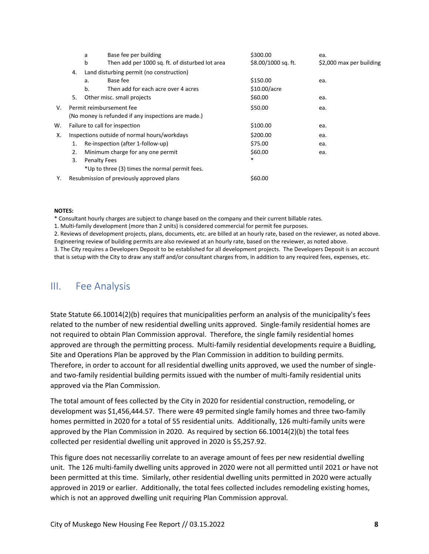|    |                                              | a  | Base fee per building                               | \$300.00            | ea.                      |
|----|----------------------------------------------|----|-----------------------------------------------------|---------------------|--------------------------|
|    |                                              | b  | Then add per 1000 sq. ft. of disturbed lot area     | \$8.00/1000 sq. ft. | \$2,000 max per building |
|    | 4.                                           |    | Land disturbing permit (no construction)            |                     |                          |
|    |                                              | a. | Base fee                                            | \$150.00            | ea.                      |
|    |                                              | b. | Then add for each acre over 4 acres                 | \$10.00/acre        |                          |
|    | 5.                                           |    | Other misc. small projects                          | \$60.00             | ea.                      |
| V. |                                              |    | Permit reimbursement fee                            | \$50.00             | ea.                      |
|    |                                              |    | (No money is refunded if any inspections are made.) |                     |                          |
| w. |                                              |    | Failure to call for inspection                      | \$100.00            | ea.                      |
| Х. | Inspections outside of normal hours/workdays |    |                                                     | \$200.00            | ea.                      |
|    | 1.                                           |    | Re-inspection (after 1-follow-up)                   | \$75.00             | ea.                      |
|    | 2.                                           |    | Minimum charge for any one permit                   | \$60.00             | ea.                      |
|    | 3.                                           |    | <b>Penalty Fees</b>                                 | $\ast$              |                          |
|    |                                              |    | *Up to three (3) times the normal permit fees.      |                     |                          |
| Υ. |                                              |    | Resubmission of previously approved plans           | \$60.00             |                          |

#### **NOTES:**

\* Consultant hourly charges are subject to change based on the company and their current billable rates.

1. Multi-family development (more than 2 units) is considered commercial for permit fee purposes.

2. Reviews of development projects, plans, documents, etc. are billed at an hourly rate, based on the reviewer, as noted above. Engineering review of building permits are also reviewed at an hourly rate, based on the reviewer, as noted above.

3. The City requires a Developers Deposit to be established for all development projects. The Developers Deposit is an account that is setup with the City to draw any staff and/or consultant charges from, in addition to any required fees, expenses, etc.

### <span id="page-7-0"></span>III. Fee Analysis

State Statute 66.10014(2)(b) requires that municipalities perform an analysis of the municipality's fees related to the number of new residential dwelling units approved. Single-family residential homes are not required to obtain Plan Commission approval. Therefore, the single family residential homes approved are through the permitting process. Multi-family residential developments require a Buidling, Site and Operations Plan be approved by the Plan Commission in addition to building permits. Therefore, in order to account for all residential dwelling units approved, we used the number of singleand two-family residential building permits issued with the number of multi-family residential units approved via the Plan Commission.

The total amount of fees collected by the City in 2020 for residential construction, remodeling, or development was \$1,456,444.57. There were 49 permited single family homes and three two-family homes permitted in 2020 for a total of 55 residential units. Additionally, 126 multi-family units were approved by the Plan Commission in 2020. As required by section 66.10014(2)(b) the total fees collected per residential dwelling unit approved in 2020 is \$5,257.92.

This figure does not necessariliy correlate to an average amount of fees per new residential dwelling unit. The 126 multi-family dwelling units approved in 2020 were not all permitted until 2021 or have not been permitted at this time. Similarly, other residential dwelling units permitted in 2020 were actually approved in 2019 or earlier. Additionally, the total fees collected includes remodeling existing homes, which is not an approved dwelling unit requiring Plan Commission approval.